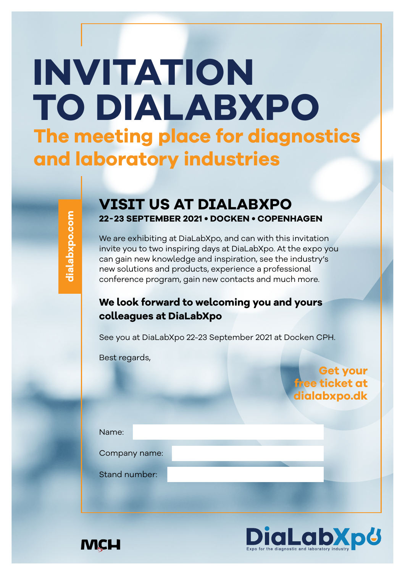## **INVITATION TO DIALABXPO The meeting place for diagnostics and laboratory industries**

## **VISIT US AT DIALABXPO 22-23 SEPTEMBER 2021 • DOCKEN • COPENHAGEN**

We are exhibiting at DiaLabXpo, and can with this invitation invite you to two inspiring days at DiaLabXpo. At the expo you can gain new knowledge and inspiration, see the industry's new solutions and products, experience a professional conference program, gain new contacts and much more.

## **We look forward to welcoming you and yours colleagues at DiaLabXpo**

See you at DiaLabXpo 22-23 September 2021 at Docken CPH.

Best regards,

**Get your [free ticket at](http://www.dialabxpo.com/for-visitors/print-entry-ticket)  dialabxpo.dk**

| Name:         |  |  |
|---------------|--|--|
| Company name: |  |  |
|               |  |  |
| Stand number: |  |  |
|               |  |  |